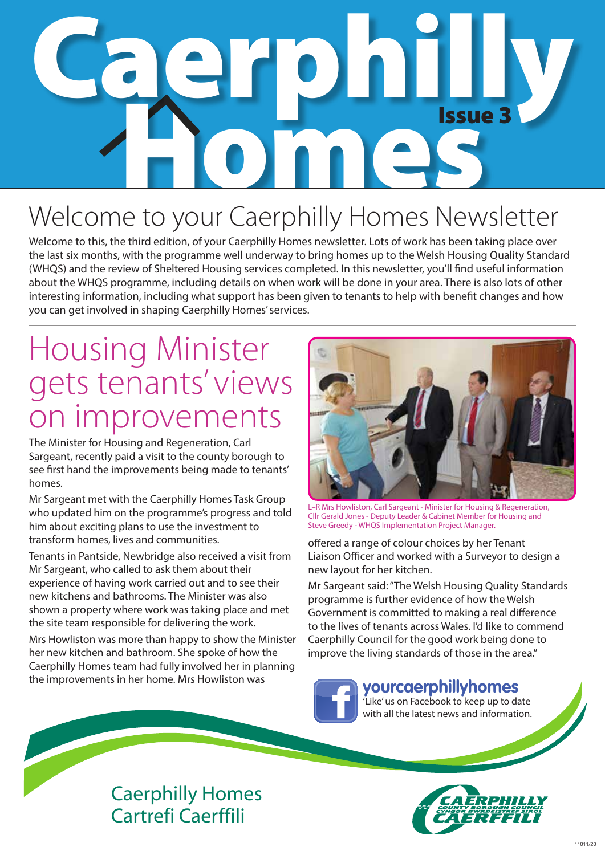# Caerphilly **OMES** Issue 3

### Welcome to your Caerphilly Homes Newsletter

Welcome to this, the third edition, of your Caerphilly Homes newsletter. Lots of work has been taking place over the last six months, with the programme well underway to bring homes up to the Welsh Housing Quality Standard (WHQS) and the review of Sheltered Housing services completed. In this newsletter, you'll find useful information about the WHQS programme, including details on when work will be done in your area. There is also lots of other interesting information, including what support has been given to tenants to help with benefit changes and how you can get involved in shaping Caerphilly Homes' services.

### Housing Minister gets tenants' views on improvements

The Minister for Housing and Regeneration, Carl Sargeant, recently paid a visit to the county borough to see first hand the improvements being made to tenants' homes.

Mr Sargeant met with the Caerphilly Homes Task Group who updated him on the programme's progress and told him about exciting plans to use the investment to transform homes, lives and communities.

Tenants in Pantside, Newbridge also received a visit from Mr Sargeant, who called to ask them about their experience of having work carried out and to see their new kitchens and bathrooms. The Minister was also shown a property where work was taking place and met the site team responsible for delivering the work.

Mrs Howliston was more than happy to show the Minister her new kitchen and bathroom. She spoke of how the Caerphilly Homes team had fully involved her in planning the improvements in her home. Mrs Howliston was



L–R Mrs Howliston, Carl Sargeant - Minister for Housing & Regeneration, Cllr Gerald Jones - Deputy Leader & Cabinet Member for Housing and Steve Greedy - WHQS Implementation Project Manager.

offered a range of colour choices by her Tenant Liaison Officer and worked with a Surveyor to design a new layout for her kitchen.

Mr Sargeant said: "The Welsh Housing Quality Standards programme is further evidence of how the Welsh Government is committed to making a real difference to the lives of tenants across Wales. I'd like to commend Caerphilly Council for the good work being done to improve the living standards of those in the area."

**yourcaerphillyhomes**

'Like' us on Facebook to keep up to date with all the latest news and information.

#### Caerphilly Homes Cartrefi Caerffili

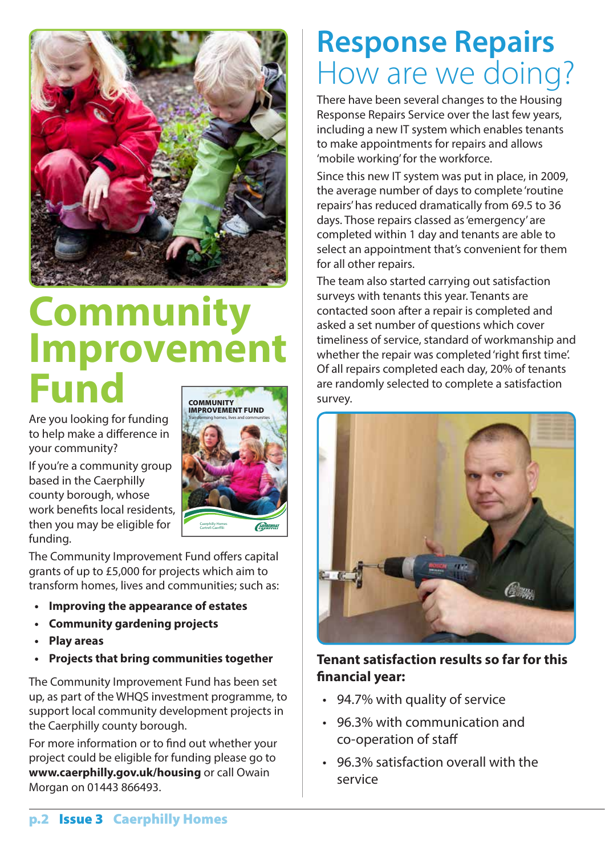

### **Community Improvement Fund**

Are you looking for funding to help make a difference in your community?

If you're a community group based in the Caerphilly county borough, whose work benefits local residents, then you may be eligible for funding.



The Community Improvement Fund offers capital grants of up to £5,000 for projects which aim to transform homes, lives and communities; such as:

- **• Improving the appearance of estates**
- **• Community gardening projects**
- **• Play areas**
- **• Projects that bring communities together**

The Community Improvement Fund has been set up, as part of the WHQS investment programme, to support local community development projects in the Caerphilly county borough.

For more information or to find out whether your project could be eligible for funding please go to **www.caerphilly.gov.uk/housing** or call Owain Morgan on 01443 866493.

### **Response Repairs** How are we doing?

There have been several changes to the Housing Response Repairs Service over the last few years, including a new IT system which enables tenants to make appointments for repairs and allows 'mobile working' for the workforce.

Since this new IT system was put in place, in 2009, the average number of days to complete 'routine repairs' has reduced dramatically from 69.5 to 36 days. Those repairs classed as 'emergency' are completed within 1 day and tenants are able to select an appointment that's convenient for them for all other repairs.

The team also started carrying out satisfaction surveys with tenants this year. Tenants are contacted soon after a repair is completed and asked a set number of questions which cover timeliness of service, standard of workmanship and whether the repair was completed 'right first time'. Of all repairs completed each day, 20% of tenants are randomly selected to complete a satisfaction survey.



#### **Tenant satisfaction results so far for this financial year:**

- • 94.7% with quality of service
- • 96.3% with communication and co-operation of staff
- • 96.3% satisfaction overall with the service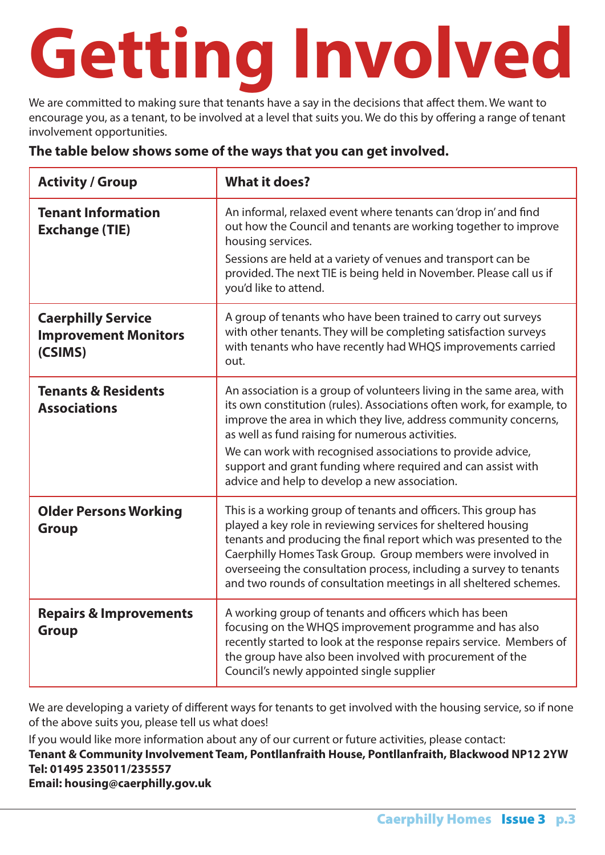# **Getting Involved**

We are committed to making sure that tenants have a say in the decisions that affect them. We want to encourage you, as a tenant, to be involved at a level that suits you. We do this by offering a range of tenant involvement opportunities.

#### **The table below shows some of the ways that you can get involved.**

| <b>Activity / Group</b>                                             | <b>What it does?</b>                                                                                                                                                                                                                                                                                                                                                                                                                                    |  |
|---------------------------------------------------------------------|---------------------------------------------------------------------------------------------------------------------------------------------------------------------------------------------------------------------------------------------------------------------------------------------------------------------------------------------------------------------------------------------------------------------------------------------------------|--|
| <b>Tenant Information</b><br><b>Exchange (TIE)</b>                  | An informal, relaxed event where tenants can 'drop in' and find<br>out how the Council and tenants are working together to improve<br>housing services.<br>Sessions are held at a variety of venues and transport can be<br>provided. The next TIE is being held in November. Please call us if<br>you'd like to attend.                                                                                                                                |  |
| <b>Caerphilly Service</b><br><b>Improvement Monitors</b><br>(CSIMS) | A group of tenants who have been trained to carry out surveys<br>with other tenants. They will be completing satisfaction surveys<br>with tenants who have recently had WHQS improvements carried<br>out.                                                                                                                                                                                                                                               |  |
| <b>Tenants &amp; Residents</b><br><b>Associations</b>               | An association is a group of volunteers living in the same area, with<br>its own constitution (rules). Associations often work, for example, to<br>improve the area in which they live, address community concerns,<br>as well as fund raising for numerous activities.<br>We can work with recognised associations to provide advice,<br>support and grant funding where required and can assist with<br>advice and help to develop a new association. |  |
| <b>Older Persons Working</b><br><b>Group</b>                        | This is a working group of tenants and officers. This group has<br>played a key role in reviewing services for sheltered housing<br>tenants and producing the final report which was presented to the<br>Caerphilly Homes Task Group. Group members were involved in<br>overseeing the consultation process, including a survey to tenants<br>and two rounds of consultation meetings in all sheltered schemes.                                         |  |
| <b>Repairs &amp; Improvements</b><br><b>Group</b>                   | A working group of tenants and officers which has been<br>focusing on the WHQS improvement programme and has also<br>recently started to look at the response repairs service. Members of<br>the group have also been involved with procurement of the<br>Council's newly appointed single supplier                                                                                                                                                     |  |

We are developing a variety of different ways for tenants to get involved with the housing service, so if none of the above suits you, please tell us what does!

If you would like more information about any of our current or future activities, please contact:

**Tenant & Community Involvement Team, Pontllanfraith House, Pontllanfraith, Blackwood NP12 2YW Tel: 01495 235011/235557 Email: housing@caerphilly.gov.uk**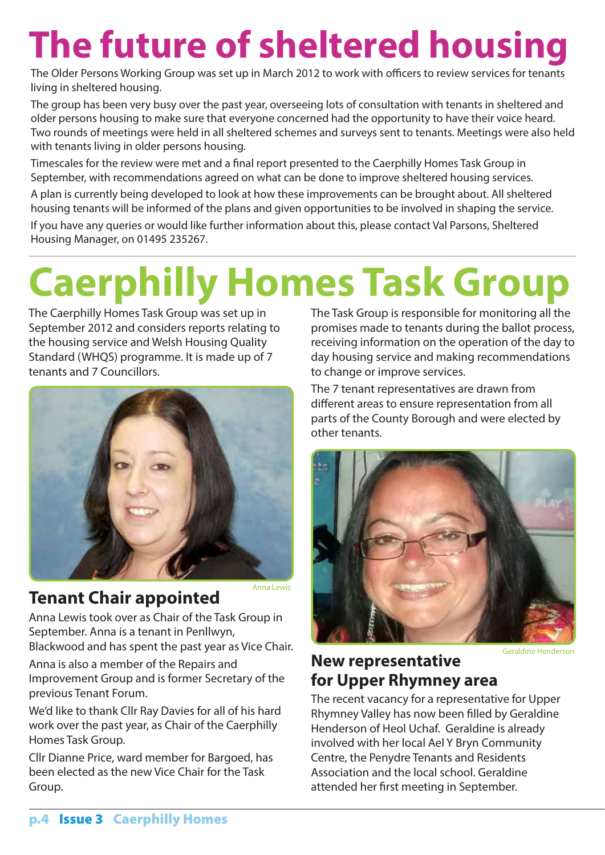## **The future of sheltered housing**

The Older Persons Working Group was set up in March 2012 to work with officers to review services for tenants living in sheltered housing.

The group has been very busy over the past year, overseeing lots of consultation with tenants in sheltered and older persons housing to make sure that everyone concerned had the opportunity to have their voice heard. Two rounds of meetings were held in all sheltered schemes and surveys sent to tenants. Meetings were also held with tenants living in older persons housing.

Timescales for the review were met and a final report presented to the Caerphilly Homes Task Group in September, with recommendations agreed on what can be done to improve sheltered housing services.

A plan is currently being developed to look at how these improvements can be brought about. All sheltered housing tenants will be informed of the plans and given opportunities to be involved in shaping the service.

If you have any queries or would like further information about this, please contact Val Parsons, Sheltered Housing Manager, on 01495 235267.

# **Caerphilly Homes Task Group**

The Caerphilly Homes Task Group was set up in September 2012 and considers reports relating to the housing service and Welsh Housing Quality Standard (WHQS) programme. It is made up of 7 tenants and 7 Councillors.



#### **Tenant Chair appointed**

Anna Lewis took over as Chair of the Task Group in September. Anna is a tenant in Penllwyn, Blackwood and has spent the past year as Vice Chair.

Anna is also a member of the Repairs and Improvement Group and is former Secretary of the previous Tenant Forum.

We'd like to thank Cllr Ray Davies for all of his hard work over the past year, as Chair of the Caerphilly Homes Task Group.

Cllr Dianne Price, ward member for Bargoed, has been elected as the new Vice Chair for the Task Group.

The Task Group is responsible for monitoring all the promises made to tenants during the ballot process, receiving information on the operation of the day to day housing service and making recommendations to change or improve services.

The 7 tenant representatives are drawn from different areas to ensure representation from all parts of the County Borough and were elected by other tenants.



Geraldine Henderson

#### **New representative for Upper Rhymney area**

The recent vacancy for a representative for Upper Rhymney Valley has now been filled by Geraldine Henderson of Heol Uchaf. Geraldine is already involved with her local Ael Y Bryn Community Centre, the Penydre Tenants and Residents Association and the local school. Geraldine attended her first meeting in September.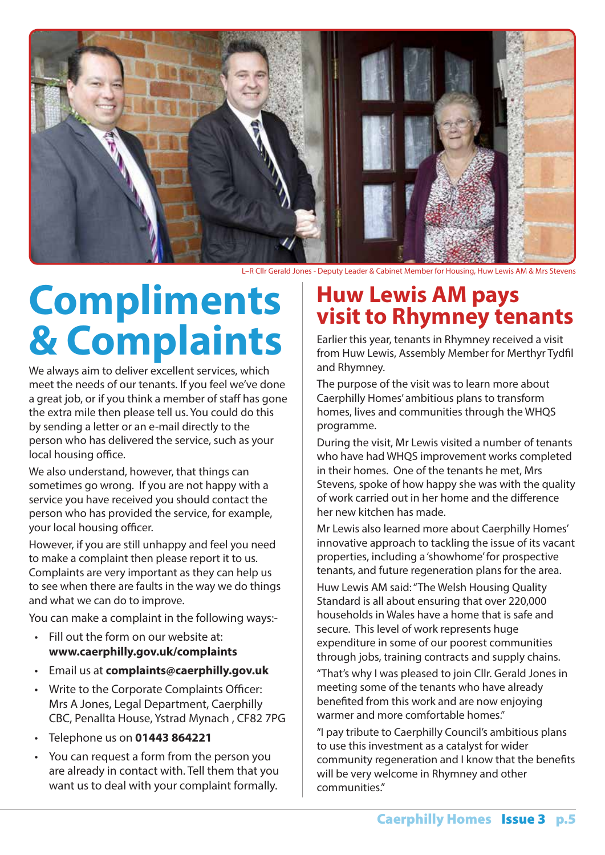

L–R Cllr Gerald Jones - Deputy Leader & Cabinet Member for Housing, Huw Lewis AM & Mrs Stevens

## **Compliments & Complaints**

We always aim to deliver excellent services, which meet the needs of our tenants. If you feel we've done a great job, or if you think a member of staff has gone the extra mile then please tell us. You could do this by sending a letter or an e-mail directly to the person who has delivered the service, such as your local housing office.

We also understand, however, that things can sometimes go wrong. If you are not happy with a service you have received you should contact the person who has provided the service, for example, your local housing officer.

However, if you are still unhappy and feel you need to make a complaint then please report it to us. Complaints are very important as they can help us to see when there are faults in the way we do things and what we can do to improve.

You can make a complaint in the following ways:-

- • Fill out the form on our website at: **www.caerphilly.gov.uk/complaints**
- • Email us at **complaints@caerphilly.gov.uk**
- • Write to the Corporate Complaints Officer: Mrs A Jones, Legal Department, Caerphilly CBC, Penallta House, Ystrad Mynach , CF82 7PG
- • Telephone us on **01443 864221**
- • You can request a form from the person you are already in contact with. Tell them that you want us to deal with your complaint formally.

# **Huw Lewis AM pays visit to Rhymney tenants**

Earlier this year, tenants in Rhymney received a visit from Huw Lewis, Assembly Member for Merthyr Tydfil and Rhymney.

The purpose of the visit was to learn more about Caerphilly Homes' ambitious plans to transform homes, lives and communities through the WHQS programme.

During the visit, Mr Lewis visited a number of tenants who have had WHQS improvement works completed in their homes. One of the tenants he met, Mrs Stevens, spoke of how happy she was with the quality of work carried out in her home and the difference her new kitchen has made.

Mr Lewis also learned more about Caerphilly Homes' innovative approach to tackling the issue of its vacant properties, including a 'showhome' for prospective tenants, and future regeneration plans for the area.

Huw Lewis AM said: "The Welsh Housing Quality Standard is all about ensuring that over 220,000 households in Wales have a home that is safe and secure. This level of work represents huge expenditure in some of our poorest communities through jobs, training contracts and supply chains.

"That's why I was pleased to join Cllr. Gerald Jones in meeting some of the tenants who have already benefited from this work and are now enjoying warmer and more comfortable homes."

"I pay tribute to Caerphilly Council's ambitious plans to use this investment as a catalyst for wider community regeneration and I know that the benefits will be very welcome in Rhymney and other communities."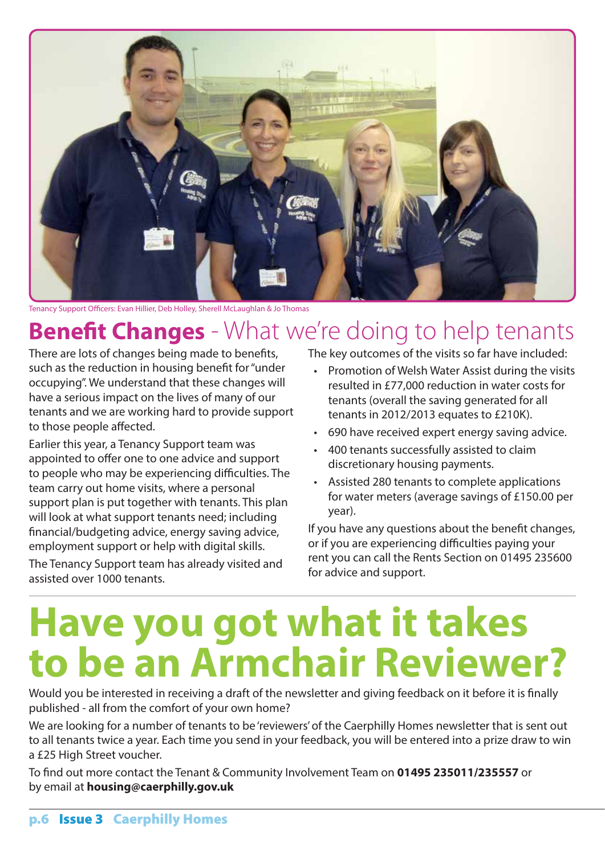

Tenancy Support Officers: Evan Hillier, Deb Holley, Sherell McLaughlan & Jo Thomas

#### **Benefit Changes** - What we're doing to help tenants

There are lots of changes being made to benefits, such as the reduction in housing benefit for "under occupying". We understand that these changes will have a serious impact on the lives of many of our tenants and we are working hard to provide support to those people affected.

Earlier this year, a Tenancy Support team was appointed to offer one to one advice and support to people who may be experiencing difficulties. The team carry out home visits, where a personal support plan is put together with tenants. This plan will look at what support tenants need; including financial/budgeting advice, energy saving advice, employment support or help with digital skills.

The Tenancy Support team has already visited and assisted over 1000 tenants.

The key outcomes of the visits so far have included:

- Promotion of Welsh Water Assist during the visits resulted in £77,000 reduction in water costs for tenants (overall the saving generated for all tenants in 2012/2013 equates to £210K).
- 690 have received expert energy saving advice.
- • 400 tenants successfully assisted to claim discretionary housing payments.
- • Assisted 280 tenants to complete applications for water meters (average savings of £150.00 per year).

If you have any questions about the benefit changes, or if you are experiencing difficulties paying your rent you can call the Rents Section on 01495 235600 for advice and support.

### **Have you got what it takes to be an Armchair Reviewer?**

Would you be interested in receiving a draft of the newsletter and giving feedback on it before it is finally published - all from the comfort of your own home?

We are looking for a number of tenants to be 'reviewers' of the Caerphilly Homes newsletter that is sent out to all tenants twice a year. Each time you send in your feedback, you will be entered into a prize draw to win a £25 High Street voucher.

To find out more contact the Tenant & Community Involvement Team on **01495 235011/235557** or by email at **housing@caerphilly.gov.uk**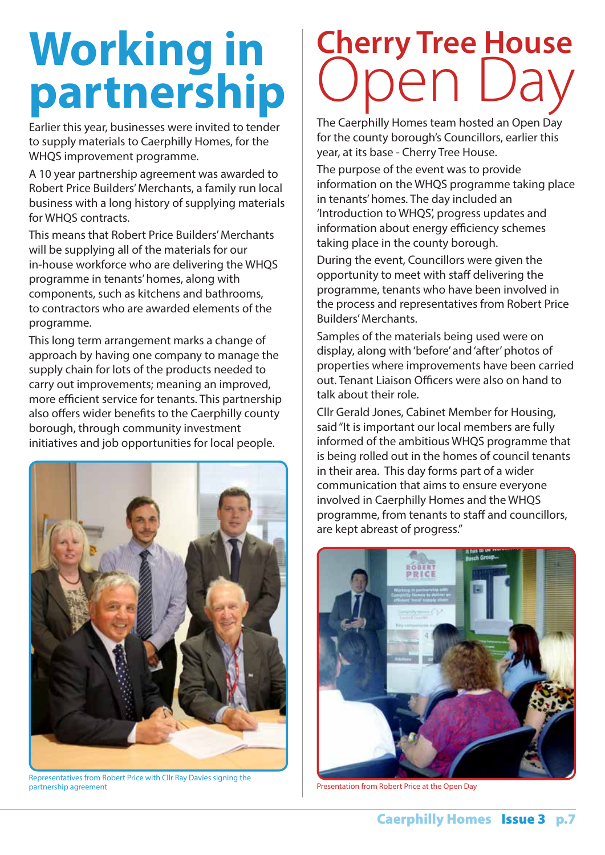# **Working in partnership**

Earlier this year, businesses were invited to tender to supply materials to Caerphilly Homes, for the WHQS improvement programme.

A 10 year partnership agreement was awarded to Robert Price Builders' Merchants, a family run local business with a long history of supplying materials for WHQS contracts.

This means that Robert Price Builders' Merchants will be supplying all of the materials for our in-house workforce who are delivering the WHQS programme in tenants' homes, along with components, such as kitchens and bathrooms, to contractors who are awarded elements of the programme.

This long term arrangement marks a change of approach by having one company to manage the supply chain for lots of the products needed to carry out improvements; meaning an improved, more efficient service for tenants. This partnership also offers wider benefits to the Caerphilly county borough, through community investment initiatives and job opportunities for local people.



Representatives from Robert Price with Cllr Ray Davies signing the partnership agreement Presentation from Robert Price at the Open Day

# **Cherry Tree House**  Open Day

The Caerphilly Homes team hosted an Open Day for the county borough's Councillors, earlier this year, at its base - Cherry Tree House.

The purpose of the event was to provide information on the WHQS programme taking place in tenants' homes. The day included an 'Introduction to WHQS', progress updates and information about energy efficiency schemes taking place in the county borough.

During the event, Councillors were given the opportunity to meet with staff delivering the programme, tenants who have been involved in the process and representatives from Robert Price Builders' Merchants.

Samples of the materials being used were on display, along with 'before' and 'after' photos of properties where improvements have been carried out. Tenant Liaison Officers were also on hand to talk about their role.

Cllr Gerald Jones, Cabinet Member for Housing, said "It is important our local members are fully informed of the ambitious WHQS programme that is being rolled out in the homes of council tenants in their area. This day forms part of a wider communication that aims to ensure everyone involved in Caerphilly Homes and the WHQS programme, from tenants to staff and councillors, are kept abreast of progress."